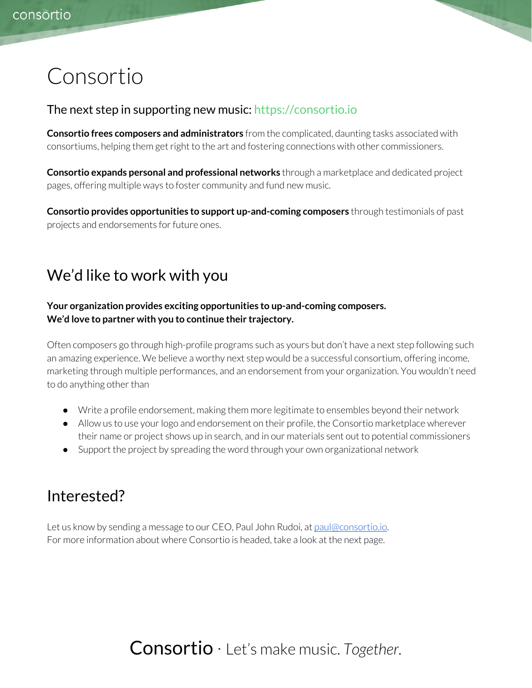# Consortio

#### The next step in supporting new music: [https://consortio.io](https://consortio.io/)

Consortio frees composers and administrators from the complicated, daunting tasks associated with consortiums, helping them get right to the art and fostering connections with other commissioners.

Consortio expands personal and professional networks through a marketplace and dedicated project pages, offering multiple ways to foster community and fund new music.

Consortio provides opportunities to support up-and-coming composers through testimonials of past projects and endorsements for future ones.

# We'd like to work with you

#### Your organization provides exciting opportunities to up-and-coming composers. We'd love to partner with you to continue their trajectory.

Often composers go through high-profile programs such as yours but don't have a next step following such an amazing experience. We believe a worthy next step would be a successful consortium, offering income, marketing through multiple performances, and an endorsement from your organization. You wouldn't need to do anything other than

- Write a profile endorsement, making them more legitimate to ensembles beyond their network
- Allow us to use your logo and endorsement on their profile, the Consortio marketplace wherever their name or project shows up in search, and in our materials sent out to potential commissioners
- Support the project by spreading the word through your own organizational network

### Interested?

Let us know by sending a message to our CEO, Paul John Rudoi, at [paul@consortio.io.](mailto:paul@consortio.io) For more information about where Consortio is headed, take a look at the next page.

Consortio · Let's make music. Together.